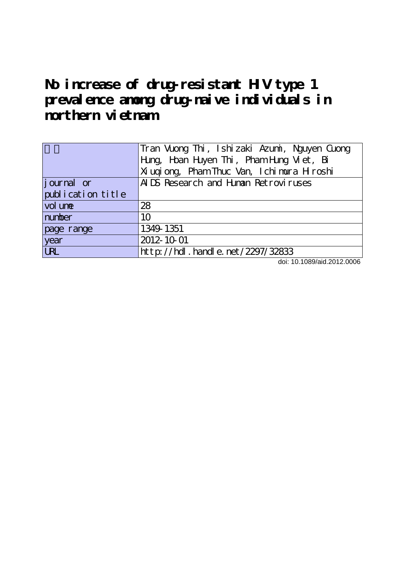**No increase of drug-resistant HIV type 1 prevalence among drug-naive individuals in northern vietnam**

|                   | Tran Vuong Thi, Ishizaki Azumi, Nguyen Cuong  |  |  |  |  |  |  |
|-------------------|-----------------------------------------------|--|--|--|--|--|--|
|                   | Hung, Hoan Huyen Thi, Pham Hung Viet, Bi      |  |  |  |  |  |  |
|                   | Xi ugi ong, Pham Thuc Van, I chi mura H roshi |  |  |  |  |  |  |
| journal or        | ALDS Research and Himan Retroviruses          |  |  |  |  |  |  |
| publication title |                                               |  |  |  |  |  |  |
| vol une           | 28                                            |  |  |  |  |  |  |
| number            | 10                                            |  |  |  |  |  |  |
| page range        | 1349 1351                                     |  |  |  |  |  |  |
| year              | 2012-10-01                                    |  |  |  |  |  |  |
| <b>LRL</b>        | http://hdl.handle.net/2297/32833              |  |  |  |  |  |  |

doi: 10.1089/aid.2012.0006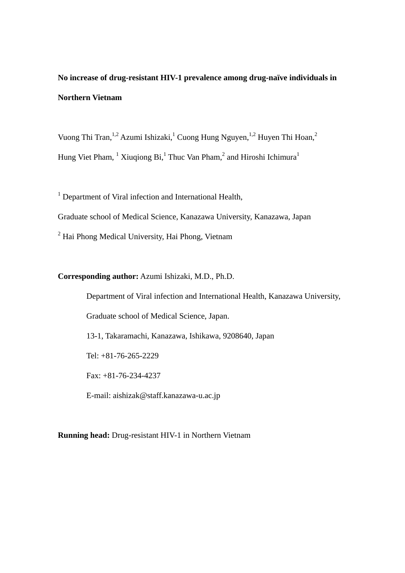**No increase of drug-resistant HIV-1 prevalence among drug-naïve individuals in Northern Vietnam** 

Vuong Thi Tran,<sup>1,2</sup> Azumi Ishizaki,<sup>1</sup> Cuong Hung Nguyen,<sup>1,2</sup> Huyen Thi Hoan,<sup>2</sup> Hung Viet Pham,  $^1$  Xiuqiong Bi, <sup>1</sup> Thuc Van Pham, <sup>2</sup> and Hiroshi Ichimura<sup>1</sup>

<sup>1</sup> Department of Viral infection and International Health, Graduate school of Medical Science, Kanazawa University, Kanazawa, Japan <sup>2</sup> Hai Phong Medical University, Hai Phong, Vietnam

## **Corresponding author:** Azumi Ishizaki, M.D., Ph.D.

 Department of Viral infection and International Health, Kanazawa University, Graduate school of Medical Science, Japan. 13-1, Takaramachi, Kanazawa, Ishikawa, 9208640, Japan Tel: +81-76-265-2229 Fax: +81-76-234-4237 E-mail: aishizak@staff.kanazawa-u.ac.jp

**Running head:** Drug-resistant HIV-1 in Northern Vietnam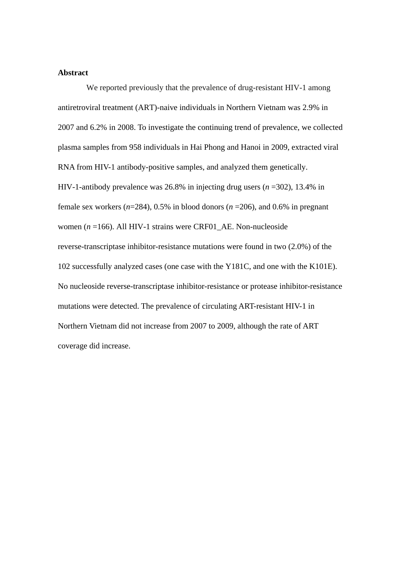## **Abstract**

We reported previously that the prevalence of drug-resistant HIV-1 among antiretroviral treatment (ART)-naive individuals in Northern Vietnam was 2.9% in 2007 and 6.2% in 2008. To investigate the continuing trend of prevalence, we collected plasma samples from 958 individuals in Hai Phong and Hanoi in 2009, extracted viral RNA from HIV-1 antibody-positive samples, and analyzed them genetically. HIV-1-antibody prevalence was 26.8% in injecting drug users (*n* =302), 13.4% in female sex workers (*n*=284), 0.5% in blood donors (*n* =206), and 0.6% in pregnant women (*n* =166). All HIV-1 strains were CRF01\_AE. Non-nucleoside reverse-transcriptase inhibitor-resistance mutations were found in two (2.0%) of the 102 successfully analyzed cases (one case with the Y181C, and one with the K101E). No nucleoside reverse-transcriptase inhibitor-resistance or protease inhibitor-resistance mutations were detected. The prevalence of circulating ART-resistant HIV-1 in Northern Vietnam did not increase from 2007 to 2009, although the rate of ART coverage did increase.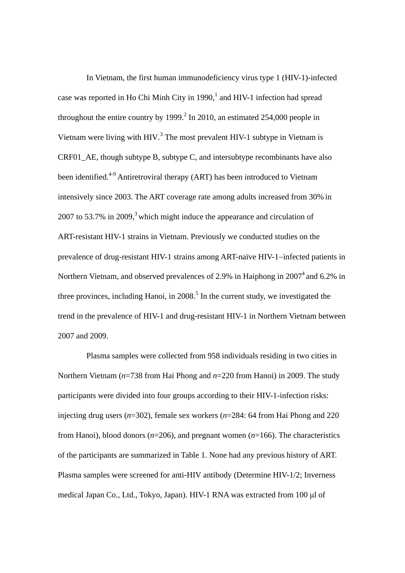In Vietnam, the first human immunodeficiency virus type 1 (HIV-1)-infected case was reported in Ho Chi Minh City in  $1990<sup>1</sup>$  and HIV-1 infection had spread throughout the entire country by  $1999.<sup>2</sup>$  In 2010, an estimated 254,000 people in Vietnam were living with HIV. $3$  The most prevalent HIV-1 subtype in Vietnam is CRF01 AE, though subtype B, subtype C, and intersubtype recombinants have also been identified.<sup>4-9</sup> Antiretroviral therapy (ART) has been introduced to Vietnam intensively since 2003. The ART coverage rate among adults increased from 30% in 2007 to 53.7% in 2009,<sup>3</sup> which might induce the appearance and circulation of ART-resistant HIV-1 strains in Vietnam. Previously we conducted studies on the prevalence of drug-resistant HIV-1 strains among ART-naïve HIV-1-infected patients in Northern Vietnam, and observed prevalences of 2.9% in Haiphong in 2007<sup>4</sup> and 6.2% in three provinces, including Hanoi, in  $2008$ <sup>5</sup>. In the current study, we investigated the trend in the prevalence of HIV-1 and drug-resistant HIV-1 in Northern Vietnam between 2007 and 2009.

Plasma samples were collected from 958 individuals residing in two cities in Northern Vietnam (*n*=738 from Hai Phong and *n*=220 from Hanoi) in 2009. The study participants were divided into four groups according to their HIV-1-infection risks: injecting drug users (*n*=302), female sex workers (*n*=284: 64 from Hai Phong and 220 from Hanoi), blood donors (*n*=206), and pregnant women (*n*=166). The characteristics of the participants are summarized in Table 1. None had any previous history of ART. Plasma samples were screened for anti-HIV antibody (Determine HIV-1/2; Inverness medical Japan Co., Ltd., Tokyo, Japan). HIV-1 RNA was extracted from 100 μl of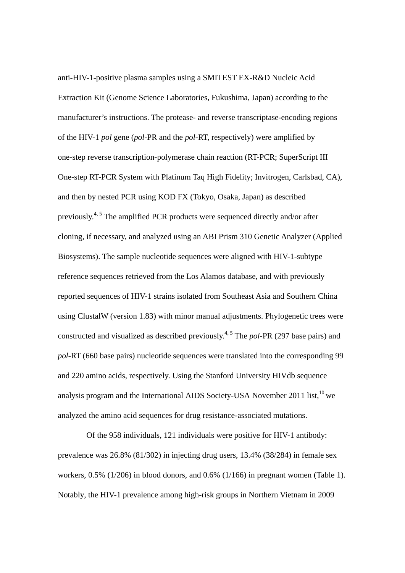anti-HIV-1-positive plasma samples using a SMITEST EX-R&D Nucleic Acid Extraction Kit (Genome Science Laboratories, Fukushima, Japan) according to the manufacturer's instructions. The protease- and reverse transcriptase-encoding regions of the HIV-1 *pol* gene (*pol*-PR and the *pol*-RT, respectively) were amplified by one-step reverse transcription-polymerase chain reaction (RT-PCR; SuperScript III One-step RT-PCR System with Platinum Taq High Fidelity; Invitrogen, Carlsbad, CA), and then by nested PCR using KOD FX (Tokyo, Osaka, Japan) as described previously.<sup>4, 5</sup> The amplified PCR products were sequenced directly and/or after cloning, if necessary, and analyzed using an ABI Prism 310 Genetic Analyzer (Applied Biosystems). The sample nucleotide sequences were aligned with HIV-1-subtype reference sequences retrieved from the Los Alamos database, and with previously reported sequences of HIV-1 strains isolated from Southeast Asia and Southern China using ClustalW (version 1.83) with minor manual adjustments. Phylogenetic trees were constructed and visualized as described previously.4, 5 The *pol*-PR (297 base pairs) and *pol*-RT (660 base pairs) nucleotide sequences were translated into the corresponding 99 and 220 amino acids, respectively. Using the Stanford University HIVdb sequence analysis program and the International AIDS Society-USA November 2011 list,  $10$  we analyzed the amino acid sequences for drug resistance-associated mutations.

Of the 958 individuals, 121 individuals were positive for HIV-1 antibody: prevalence was 26.8% (81/302) in injecting drug users, 13.4% (38/284) in female sex workers, 0.5% (1/206) in blood donors, and 0.6% (1/166) in pregnant women (Table 1). Notably, the HIV-1 prevalence among high-risk groups in Northern Vietnam in 2009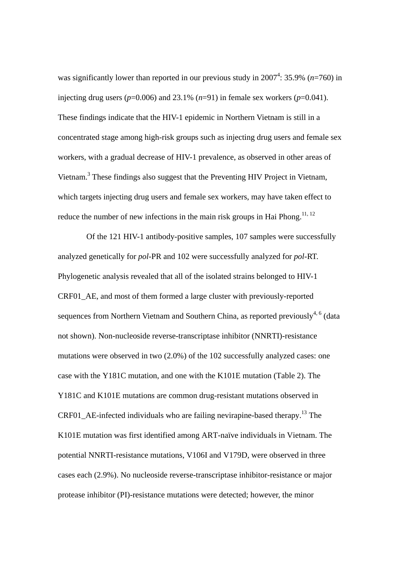was significantly lower than reported in our previous study in  $2007^4$ : 35.9% ( $n=760$ ) in injecting drug users  $(p=0.006)$  and 23.1%  $(n=91)$  in female sex workers  $(p=0.041)$ . These findings indicate that the HIV-1 epidemic in Northern Vietnam is still in a concentrated stage among high-risk groups such as injecting drug users and female sex workers, with a gradual decrease of HIV-1 prevalence, as observed in other areas of Vietnam.<sup>3</sup> These findings also suggest that the Preventing HIV Project in Vietnam, which targets injecting drug users and female sex workers, may have taken effect to reduce the number of new infections in the main risk groups in Hai Phong.<sup>11, 12</sup>

Of the 121 HIV-1 antibody-positive samples, 107 samples were successfully analyzed genetically for *pol*-PR and 102 were successfully analyzed for *pol*-RT. Phylogenetic analysis revealed that all of the isolated strains belonged to HIV-1 CRF01\_AE, and most of them formed a large cluster with previously-reported sequences from Northern Vietnam and Southern China, as reported previously<sup>4, 6</sup> (data not shown). Non-nucleoside reverse-transcriptase inhibitor (NNRTI)-resistance mutations were observed in two (2.0%) of the 102 successfully analyzed cases: one case with the Y181C mutation, and one with the K101E mutation (Table 2). The Y181C and K101E mutations are common drug-resistant mutations observed in CRF01 AE-infected individuals who are failing nevirapine-based therapy.<sup>13</sup> The K101E mutation was first identified among ART-naïve individuals in Vietnam. The potential NNRTI-resistance mutations, V106I and V179D, were observed in three cases each (2.9%). No nucleoside reverse-transcriptase inhibitor-resistance or major protease inhibitor (PI)-resistance mutations were detected; however, the minor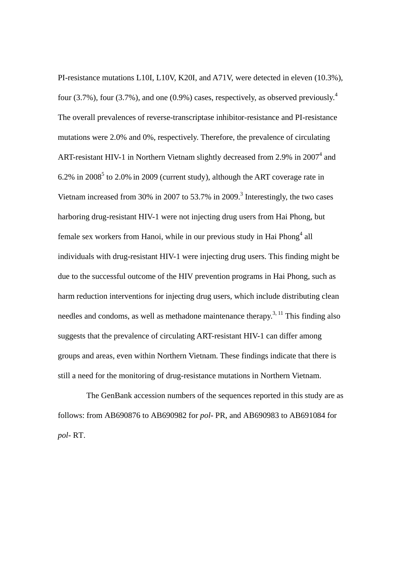PI-resistance mutations L10I, L10V, K20I, and A71V, were detected in eleven (10.3%), four (3.7%), four (3.7%), and one (0.9%) cases, respectively, as observed previously.<sup>4</sup> The overall prevalences of reverse-transcriptase inhibitor-resistance and PI-resistance mutations were 2.0% and 0%, respectively. Therefore, the prevalence of circulating ART-resistant HIV-1 in Northern Vietnam slightly decreased from 2.9% in  $2007<sup>4</sup>$  and  $6.2\%$  in 2008<sup>5</sup> to 2.0% in 2009 (current study), although the ART coverage rate in Vietnam increased from 30% in 2007 to 53.7% in 2009.<sup>3</sup> Interestingly, the two cases harboring drug-resistant HIV-1 were not injecting drug users from Hai Phong, but female sex workers from Hanoi, while in our previous study in Hai Phong<sup>4</sup> all individuals with drug-resistant HIV-1 were injecting drug users. This finding might be due to the successful outcome of the HIV prevention programs in Hai Phong, such as harm reduction interventions for injecting drug users, which include distributing clean needles and condoms, as well as methadone maintenance therapy.<sup>3, 11</sup> This finding also suggests that the prevalence of circulating ART-resistant HIV-1 can differ among groups and areas, even within Northern Vietnam. These findings indicate that there is still a need for the monitoring of drug-resistance mutations in Northern Vietnam.

The GenBank accession numbers of the sequences reported in this study are as follows: from AB690876 to AB690982 for *pol*- PR, and AB690983 to AB691084 for *pol*- RT.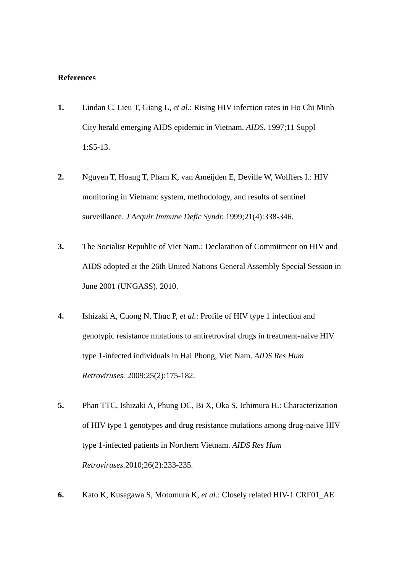## **References**

- **1.** Lindan C, Lieu T, Giang L, *et al.*: Rising HIV infection rates in Ho Chi Minh City herald emerging AIDS epidemic in Vietnam. *AIDS.* 1997;11 Suppl 1:S5-13.
- **2.** Nguyen T, Hoang T, Pham K, van Ameijden E, Deville W, Wolffers I.: HIV monitoring in Vietnam: system, methodology, and results of sentinel surveillance. *J Acquir Immune Defic Syndr.* 1999;21(4):338-346.
- **3.** The Socialist Republic of Viet Nam.: Declaration of Commitment on HIV and AIDS adopted at the 26th United Nations General Assembly Special Session in June 2001 (UNGASS). 2010.
- **4.** Ishizaki A, Cuong N, Thuc P, *et al.*: Profile of HIV type 1 infection and genotypic resistance mutations to antiretroviral drugs in treatment-naive HIV type 1-infected individuals in Hai Phong, Viet Nam. *AIDS Res Hum Retroviruses.* 2009;25(2):175-182.
- **5.** Phan TTC, Ishizaki A, Phung DC, Bi X, Oka S, Ichimura H.: Characterization of HIV type 1 genotypes and drug resistance mutations among drug-naive HIV type 1-infected patients in Northern Vietnam. *AIDS Res Hum Retroviruses.*2010;26(2):233-235.
- **6.** Kato K, Kusagawa S, Motomura K, *et al.*: Closely related HIV-1 CRF01\_AE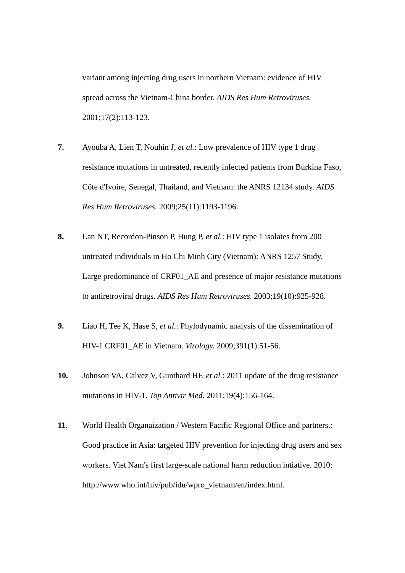variant among injecting drug users in northern Vietnam: evidence of HIV spread across the Vietnam-China border. *AIDS Res Hum Retroviruses.*  2001;17(2):113-123.

- **7.** Ayouba A, Lien T, Nouhin J, *et al.*: Low prevalence of HIV type 1 drug resistance mutations in untreated, recently infected patients from Burkina Faso, Côte d'Ivoire, Senegal, Thailand, and Vietnam: the ANRS 12134 study. *AIDS Res Hum Retroviruses.* 2009;25(11):1193-1196.
- **8.** Lan NT, Recordon-Pinson P, Hung P, *et al.*: HIV type 1 isolates from 200 untreated individuals in Ho Chi Minh City (Vietnam): ANRS 1257 Study. Large predominance of CRF01\_AE and presence of major resistance mutations to antiretroviral drugs. *AIDS Res Hum Retroviruses.* 2003;19(10):925-928.
- **9.** Liao H, Tee K, Hase S, *et al.*: Phylodynamic analysis of the dissemination of HIV-1 CRF01\_AE in Vietnam. *Virology.* 2009;391(1):51-56.
- **10.** Johnson VA, Calvez V, Gunthard HF, *et al.*: 2011 update of the drug resistance mutations in HIV-1. *Top Antivir Med.* 2011;19(4):156-164.
- **11.** World Health Organaization / Western Pacific Regional Office and partners.: Good practice in Asia: targeted HIV prevention for injecting drug users and sex workers. Viet Nam's first large-scale national harm reduction intiative. 2010; http://www.who.int/hiv/pub/idu/wpro\_vietnam/en/index.html.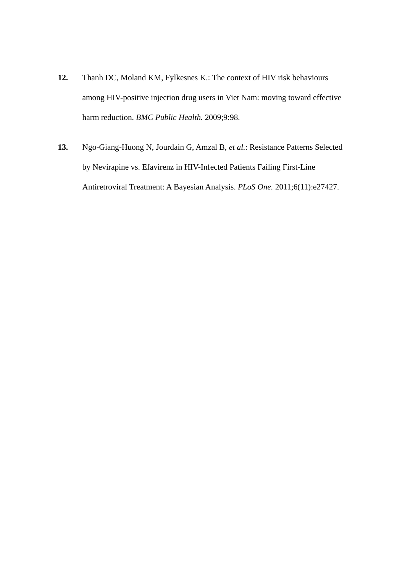- **12.** Thanh DC, Moland KM, Fylkesnes K.: The context of HIV risk behaviours among HIV-positive injection drug users in Viet Nam: moving toward effective harm reduction. *BMC Public Health.* 2009;9:98.
- **13.** Ngo-Giang-Huong N, Jourdain G, Amzal B, *et al.*: Resistance Patterns Selected by Nevirapine vs. Efavirenz in HIV-Infected Patients Failing First-Line Antiretroviral Treatment: A Bayesian Analysis. *PLoS One.* 2011;6(11):e27427.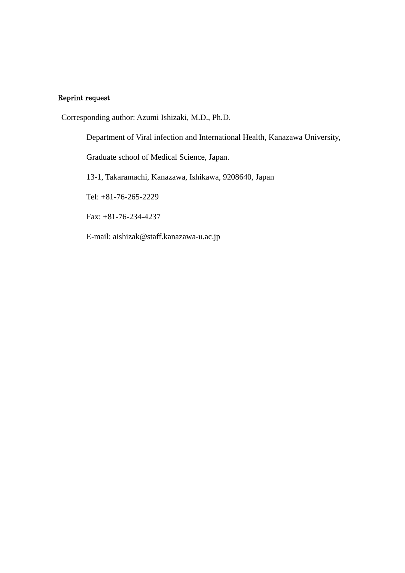## Reprint request

Corresponding author: Azumi Ishizaki, M.D., Ph.D.

Department of Viral infection and International Health, Kanazawa University,

Graduate school of Medical Science, Japan.

13-1, Takaramachi, Kanazawa, Ishikawa, 9208640, Japan

Tel: +81-76-265-2229

Fax: +81-76-234-4237

E-mail: aishizak@staff.kanazawa-u.ac.jp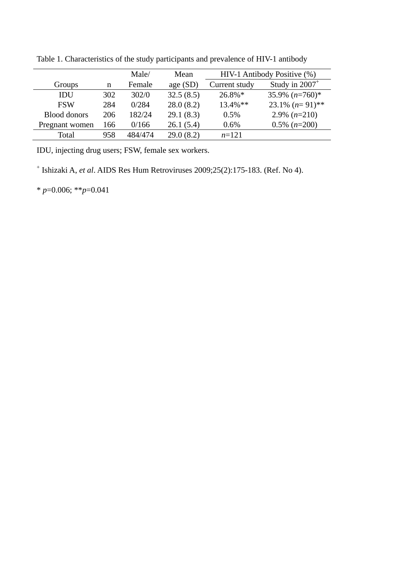|                     |     | Male/   | Mean      | HIV-1 Antibody Positive (%) |                     |  |
|---------------------|-----|---------|-----------|-----------------------------|---------------------|--|
| Groups              | n   | Female  | age(SD)   | Current study               | Study in $2007^+$   |  |
| IDU                 | 302 | 302/0   | 32.5(8.5) | $26.8\%*$                   | 35.9% $(n=760)$ *   |  |
| <b>FSW</b>          | 284 | 0/284   | 28.0(8.2) | $13.4\%$ **                 | 23.1% $(n=91)$ **   |  |
| <b>Blood donors</b> | 206 | 182/24  | 29.1(8.3) | $0.5\%$                     | $2.9\%$ (n=210)     |  |
| Pregnant women      | 166 | 0/166   | 26.1(5.4) | $0.6\%$                     | $0.5\%$ ( $n=200$ ) |  |
| Total               | 958 | 484/474 | 29.0(8.2) | $n=121$                     |                     |  |

Table 1. Characteristics of the study participants and prevalence of HIV-1 antibody

IDU, injecting drug users; FSW, female sex workers.

+ Ishizaki A, *et al*. AIDS Res Hum Retroviruses 2009;25(2):175-183. (Ref. No 4).

\* *p*=0.006; \*\**p*=0.041